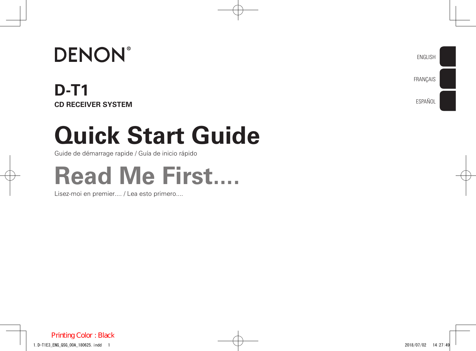# **DENON®**

## **D-T1 CD RECEIVER SYSTEM**

# **Quick Start Guide**

Guide de démarrage rapide / Guía de inicio rápido

# **Read Me First....**

Lisez-moi en premier.... / Lea esto primero....

ENGLISH

FRANÇAIS

ESPAÑOL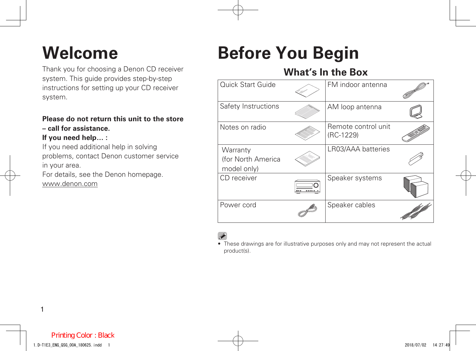Thank you for choosing a Denon CD receiver system. This guide provides step-by-step instructions for setting up your CD receiver system.

#### **Please do not return this unit to the store – call for assistance.**

#### **If you need help… :**

If you need additional help in solving problems, contact Denon customer service in your area.

For details, see the Denon homepage.

www.denon.com

## **Welcome Before You Begin**

### **What's In the Box**

| Quick Start Guide                             | FM indoor antenna                  |  |
|-----------------------------------------------|------------------------------------|--|
| Safety Instructions                           | AM loop antenna                    |  |
| Notes on radio                                | Remote control unit<br>$(RC-1229)$ |  |
| Warranty<br>(for North America<br>model only) | LR03/AAA batteries                 |  |
| CD receiver                                   | Speaker systems                    |  |
| Power cord                                    | Speaker cables                     |  |

• These drawings are for illustrative purposes only and may not represent the actual product(s).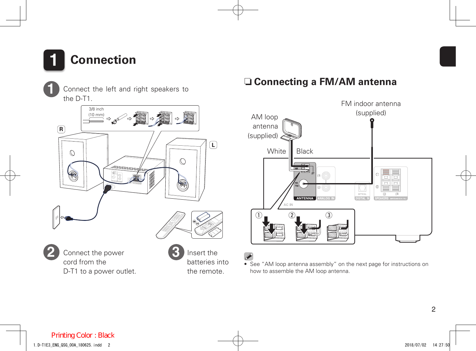

**1**

Connect the left and right speakers to the D-T1.



cord from the D-T1 to a power outlet. Insert the batteries into the remote.

#### □ Connecting a FM/AM antenna



• See "AM loop antenna assembly" on the next page for instructions on how to assemble the AM loop antenna.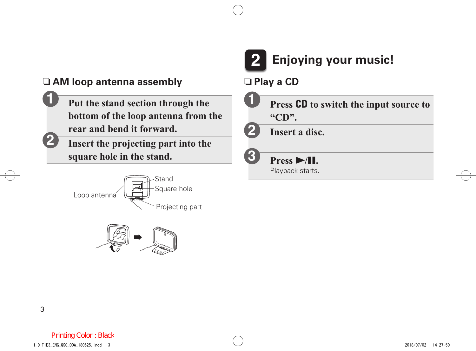#### $\Box$  **AM loop antenna assembly**  $\Box$  **Play a CD**

- **Put the stand section through the bottom of the loop antenna from the rear and bend it forward.**
	- **Insert the projecting part into the square hole in the stand.**







**3**

- **Press CD to switch the input source to "CD". 1**
- **Insert a disc. 2**

**Press**  $\blacktriangleright$ **/11.** Playback starts.

**1**

**2**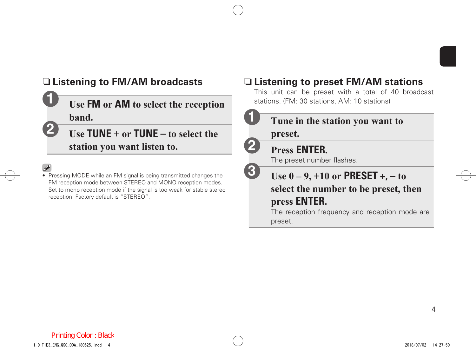

#### □ Listening to FM/AM broadcasts

Use FM or AM to select the reception stations. (FM: 30 stations, AM: 10 stations) **band.**

- **Use TUNE + or TUNE to select the station you want listen to.**
- 

**1**

**2**

• Pressing MODE while an FM signal is being transmitted changes the FM reception mode between STEREO and MONO reception modes. Set to mono reception mode if the signal is too weak for stable stereo reception. Factory default is "STEREO".

### □ Listening to preset **FM/AM** stations

This unit can be preset with a total of 40 broadcast



The reception frequency and reception mode are preset.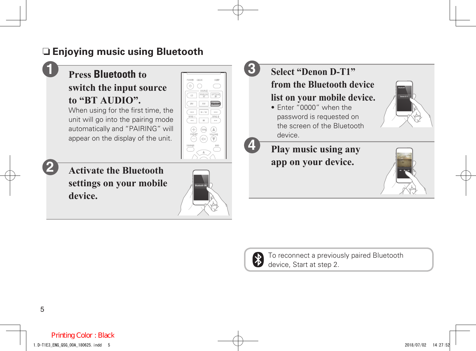### n **Enjoying music using Bluetooth**

#### **Press Bluetooth to switch the input source to "BT AUDIO".**

When using for the first time, the unit will go into the pairing mode automatically and "PAIRING" will appear on the display of the unit.



**Activate the Bluetooth settings on your mobile device.**



**3**

**4**

## **Select "Denon D-T1"**

**from the Bluetooth device list on your mobile device.**

• Enter "0000" when the password is requested on the screen of the Bluetooth device.

**Play music using any**  app on your device.



Bluetooth

Denon D-T1  $\begin{bmatrix} 1 \\ 2 \end{bmatrix}$ 



To reconnect a previously paired Bluetooth device, Start at step 2.

**1**

**2**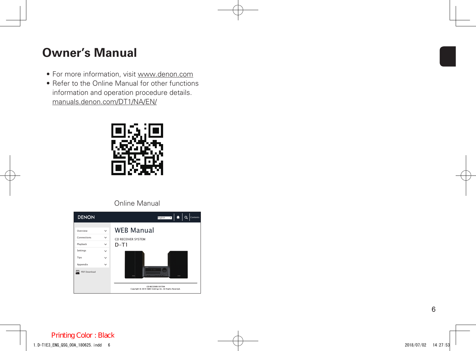## **Owner's Manual**

- For more information, visit www.denon.com
- Refer to the Online Manual for other functions information and operation procedure details. manuals.denon.com/DT1/NA/EN/



#### Online Manual